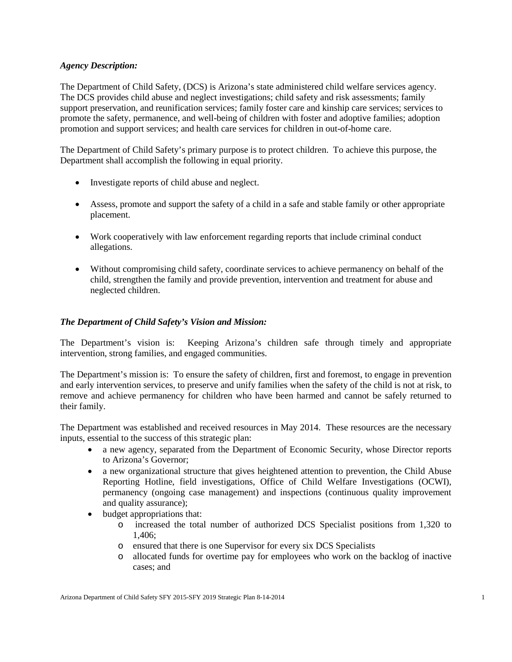### *Agency Description:*

The Department of Child Safety, (DCS) is Arizona's state administered child welfare services agency. The DCS provides child abuse and neglect investigations; child safety and risk assessments; family support preservation, and reunification services; family foster care and kinship care services; services to promote the safety, permanence, and well-being of children with foster and adoptive families; adoption promotion and support services; and health care services for children in out-of-home care.

The Department of Child Safety's primary purpose is to protect children. To achieve this purpose, the Department shall accomplish the following in equal priority.

- Investigate reports of child abuse and neglect.
- Assess, promote and support the safety of a child in a safe and stable family or other appropriate placement.
- Work cooperatively with law enforcement regarding reports that include criminal conduct allegations.
- Without compromising child safety, coordinate services to achieve permanency on behalf of the child, strengthen the family and provide prevention, intervention and treatment for abuse and neglected children.

# *The Department of Child Safety's Vision and Mission:*

The Department's vision is: Keeping Arizona's children safe through timely and appropriate intervention, strong families, and engaged communities.

The Department's mission is: To ensure the safety of children, first and foremost, to engage in prevention and early intervention services, to preserve and unify families when the safety of the child is not at risk, to remove and achieve permanency for children who have been harmed and cannot be safely returned to their family.

The Department was established and received resources in May 2014. These resources are the necessary inputs, essential to the success of this strategic plan:

- a new agency, separated from the Department of Economic Security, whose Director reports to Arizona's Governor;
- a new organizational structure that gives heightened attention to prevention, the Child Abuse Reporting Hotline, field investigations, Office of Child Welfare Investigations (OCWI), permanency (ongoing case management) and inspections (continuous quality improvement and quality assurance);
- budget appropriations that:
	- o increased the total number of authorized DCS Specialist positions from 1,320 to 1,406;
	- o ensured that there is one Supervisor for every six DCS Specialists
	- o allocated funds for overtime pay for employees who work on the backlog of inactive cases; and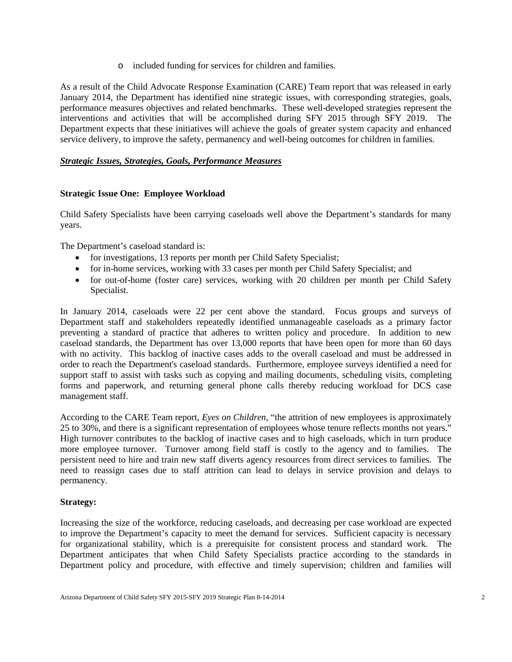o included funding for services for children and families.

As a result of the Child Advocate Response Examination (CARE) Team report that was released in early January 2014, the Department has identified nine strategic issues, with corresponding strategies, goals, performance measures objectives and related benchmarks. These well-developed strategies represent the interventions and activities that will be accomplished during SFY 2015 through SFY 2019. The Department expects that these initiatives will achieve the goals of greater system capacity and enhanced service delivery, to improve the safety, permanency and well-being outcomes for children in families.

# *Strategic Issues, Strategies, Goals, Performance Measures*

# **Strategic Issue One: Employee Workload**

Child Safety Specialists have been carrying caseloads well above the Department's standards for many years.

The Department's caseload standard is:

- for investigations, 13 reports per month per Child Safety Specialist;
- for in-home services, working with 33 cases per month per Child Safety Specialist; and
- for out-of-home (foster care) services, working with 20 children per month per Child Safety Specialist.

In January 2014, caseloads were 22 per cent above the standard. Focus groups and surveys of Department staff and stakeholders repeatedly identified unmanageable caseloads as a primary factor preventing a standard of practice that adheres to written policy and procedure. In addition to new caseload standards, the Department has over 13,000 reports that have been open for more than 60 days with no activity. This backlog of inactive cases adds to the overall caseload and must be addressed in order to reach the Department's caseload standards. Furthermore, employee surveys identified a need for support staff to assist with tasks such as copying and mailing documents, scheduling visits, completing forms and paperwork, and returning general phone calls thereby reducing workload for DCS case management staff.

According to the CARE Team report, *Eyes on Children*, "the attrition of new employees is approximately 25 to 30%, and there is a significant representation of employees whose tenure reflects months not years." High turnover contributes to the backlog of inactive cases and to high caseloads, which in turn produce more employee turnover. Turnover among field staff is costly to the agency and to families. The persistent need to hire and train new staff diverts agency resources from direct services to families. The need to reassign cases due to staff attrition can lead to delays in service provision and delays to permanency.

### **Strategy:**

Increasing the size of the workforce, reducing caseloads, and decreasing per case workload are expected to improve the Department's capacity to meet the demand for services. Sufficient capacity is necessary for organizational stability, which is a prerequisite for consistent process and standard work. The Department anticipates that when Child Safety Specialists practice according to the standards in Department policy and procedure, with effective and timely supervision; children and families will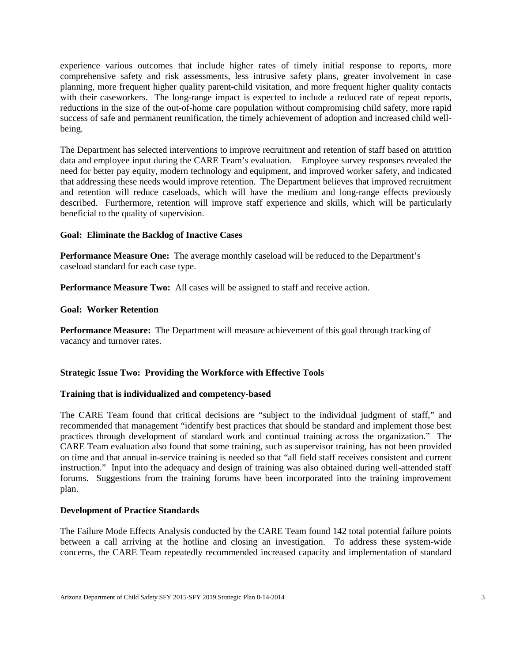experience various outcomes that include higher rates of timely initial response to reports, more comprehensive safety and risk assessments, less intrusive safety plans, greater involvement in case planning, more frequent higher quality parent-child visitation, and more frequent higher quality contacts with their caseworkers. The long-range impact is expected to include a reduced rate of repeat reports, reductions in the size of the out-of-home care population without compromising child safety, more rapid success of safe and permanent reunification, the timely achievement of adoption and increased child wellbeing.

The Department has selected interventions to improve recruitment and retention of staff based on attrition data and employee input during the CARE Team's evaluation. Employee survey responses revealed the need for better pay equity, modern technology and equipment, and improved worker safety, and indicated that addressing these needs would improve retention. The Department believes that improved recruitment and retention will reduce caseloads, which will have the medium and long-range effects previously described. Furthermore, retention will improve staff experience and skills, which will be particularly beneficial to the quality of supervision.

### **Goal: Eliminate the Backlog of Inactive Cases**

**Performance Measure One:** The average monthly caseload will be reduced to the Department's caseload standard for each case type.

**Performance Measure Two:** All cases will be assigned to staff and receive action.

#### **Goal: Worker Retention**

**Performance Measure:** The Department will measure achievement of this goal through tracking of vacancy and turnover rates.

### **Strategic Issue Two: Providing the Workforce with Effective Tools**

#### **Training that is individualized and competency-based**

The CARE Team found that critical decisions are "subject to the individual judgment of staff," and recommended that management "identify best practices that should be standard and implement those best practices through development of standard work and continual training across the organization." The CARE Team evaluation also found that some training, such as supervisor training, has not been provided on time and that annual in-service training is needed so that "all field staff receives consistent and current instruction." Input into the adequacy and design of training was also obtained during well-attended staff forums. Suggestions from the training forums have been incorporated into the training improvement plan.

### **Development of Practice Standards**

The Failure Mode Effects Analysis conducted by the CARE Team found 142 total potential failure points between a call arriving at the hotline and closing an investigation. To address these system-wide concerns, the CARE Team repeatedly recommended increased capacity and implementation of standard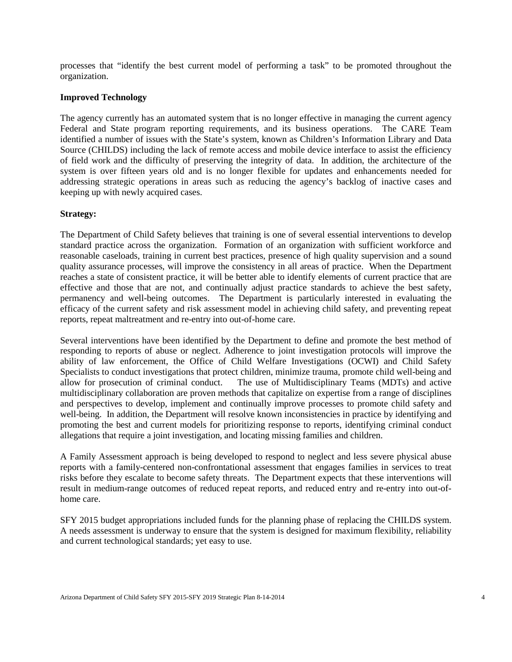processes that "identify the best current model of performing a task" to be promoted throughout the organization.

### **Improved Technology**

The agency currently has an automated system that is no longer effective in managing the current agency Federal and State program reporting requirements, and its business operations. The CARE Team identified a number of issues with the State's system, known as Children's Information Library and Data Source (CHILDS) including the lack of remote access and mobile device interface to assist the efficiency of field work and the difficulty of preserving the integrity of data. In addition, the architecture of the system is over fifteen years old and is no longer flexible for updates and enhancements needed for addressing strategic operations in areas such as reducing the agency's backlog of inactive cases and keeping up with newly acquired cases.

#### **Strategy:**

The Department of Child Safety believes that training is one of several essential interventions to develop standard practice across the organization. Formation of an organization with sufficient workforce and reasonable caseloads, training in current best practices, presence of high quality supervision and a sound quality assurance processes, will improve the consistency in all areas of practice. When the Department reaches a state of consistent practice, it will be better able to identify elements of current practice that are effective and those that are not, and continually adjust practice standards to achieve the best safety, permanency and well-being outcomes. The Department is particularly interested in evaluating the efficacy of the current safety and risk assessment model in achieving child safety, and preventing repeat reports, repeat maltreatment and re-entry into out-of-home care.

Several interventions have been identified by the Department to define and promote the best method of responding to reports of abuse or neglect. Adherence to joint investigation protocols will improve the ability of law enforcement, the Office of Child Welfare Investigations (OCWI) and Child Safety Specialists to conduct investigations that protect children, minimize trauma, promote child well-being and allow for prosecution of criminal conduct. The use of Multidisciplinary Teams (MDTs) and active multidisciplinary collaboration are proven methods that capitalize on expertise from a range of disciplines and perspectives to develop, implement and continually improve processes to promote child safety and well-being. In addition, the Department will resolve known inconsistencies in practice by identifying and promoting the best and current models for prioritizing response to reports, identifying criminal conduct allegations that require a joint investigation, and locating missing families and children.

A Family Assessment approach is being developed to respond to neglect and less severe physical abuse reports with a family-centered non-confrontational assessment that engages families in services to treat risks before they escalate to become safety threats. The Department expects that these interventions will result in medium-range outcomes of reduced repeat reports, and reduced entry and re-entry into out-ofhome care.

SFY 2015 budget appropriations included funds for the planning phase of replacing the CHILDS system. A needs assessment is underway to ensure that the system is designed for maximum flexibility, reliability and current technological standards; yet easy to use.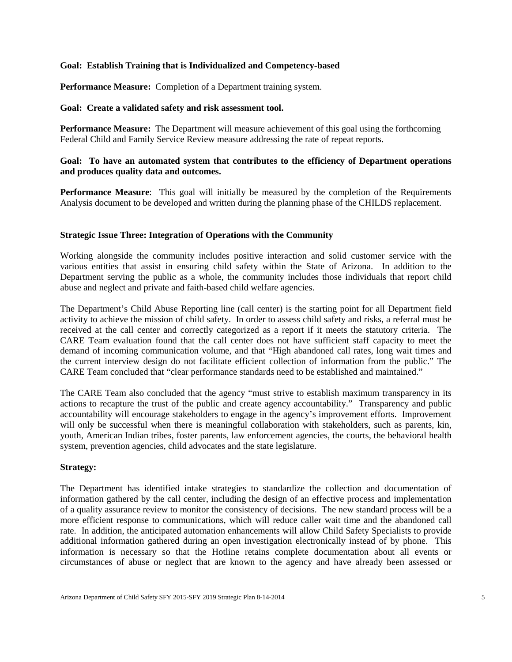#### **Goal: Establish Training that is Individualized and Competency-based**

**Performance Measure:** Completion of a Department training system.

#### **Goal: Create a validated safety and risk assessment tool.**

**Performance Measure:** The Department will measure achievement of this goal using the forthcoming Federal Child and Family Service Review measure addressing the rate of repeat reports.

### **Goal: To have an automated system that contributes to the efficiency of Department operations and produces quality data and outcomes.**

**Performance Measure:** This goal will initially be measured by the completion of the Requirements Analysis document to be developed and written during the planning phase of the CHILDS replacement.

#### **Strategic Issue Three: Integration of Operations with the Community**

Working alongside the community includes positive interaction and solid customer service with the various entities that assist in ensuring child safety within the State of Arizona. In addition to the Department serving the public as a whole, the community includes those individuals that report child abuse and neglect and private and faith-based child welfare agencies.

The Department's Child Abuse Reporting line (call center) is the starting point for all Department field activity to achieve the mission of child safety. In order to assess child safety and risks, a referral must be received at the call center and correctly categorized as a report if it meets the statutory criteria. The CARE Team evaluation found that the call center does not have sufficient staff capacity to meet the demand of incoming communication volume, and that "High abandoned call rates, long wait times and the current interview design do not facilitate efficient collection of information from the public." The CARE Team concluded that "clear performance standards need to be established and maintained."

The CARE Team also concluded that the agency "must strive to establish maximum transparency in its actions to recapture the trust of the public and create agency accountability." Transparency and public accountability will encourage stakeholders to engage in the agency's improvement efforts. Improvement will only be successful when there is meaningful collaboration with stakeholders, such as parents, kin, youth, American Indian tribes, foster parents, law enforcement agencies, the courts, the behavioral health system, prevention agencies, child advocates and the state legislature.

#### **Strategy:**

The Department has identified intake strategies to standardize the collection and documentation of information gathered by the call center, including the design of an effective process and implementation of a quality assurance review to monitor the consistency of decisions. The new standard process will be a more efficient response to communications, which will reduce caller wait time and the abandoned call rate. In addition, the anticipated automation enhancements will allow Child Safety Specialists to provide additional information gathered during an open investigation electronically instead of by phone. This information is necessary so that the Hotline retains complete documentation about all events or circumstances of abuse or neglect that are known to the agency and have already been assessed or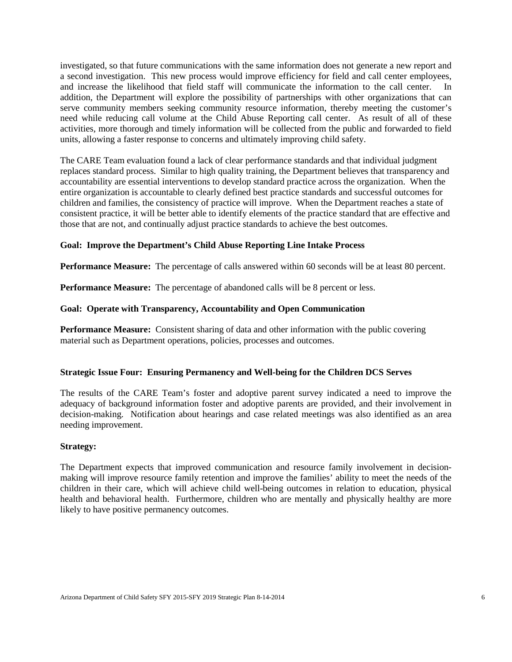investigated, so that future communications with the same information does not generate a new report and a second investigation. This new process would improve efficiency for field and call center employees, and increase the likelihood that field staff will communicate the information to the call center. In addition, the Department will explore the possibility of partnerships with other organizations that can serve community members seeking community resource information, thereby meeting the customer's need while reducing call volume at the Child Abuse Reporting call center. As result of all of these activities, more thorough and timely information will be collected from the public and forwarded to field units, allowing a faster response to concerns and ultimately improving child safety.

The CARE Team evaluation found a lack of clear performance standards and that individual judgment replaces standard process. Similar to high quality training, the Department believes that transparency and accountability are essential interventions to develop standard practice across the organization. When the entire organization is accountable to clearly defined best practice standards and successful outcomes for children and families, the consistency of practice will improve. When the Department reaches a state of consistent practice, it will be better able to identify elements of the practice standard that are effective and those that are not, and continually adjust practice standards to achieve the best outcomes.

#### **Goal: Improve the Department's Child Abuse Reporting Line Intake Process**

**Performance Measure:** The percentage of calls answered within 60 seconds will be at least 80 percent.

**Performance Measure:** The percentage of abandoned calls will be 8 percent or less.

#### **Goal: Operate with Transparency, Accountability and Open Communication**

**Performance Measure:** Consistent sharing of data and other information with the public covering material such as Department operations, policies, processes and outcomes.

#### **Strategic Issue Four: Ensuring Permanency and Well-being for the Children DCS Serves**

The results of the CARE Team's foster and adoptive parent survey indicated a need to improve the adequacy of background information foster and adoptive parents are provided, and their involvement in decision-making. Notification about hearings and case related meetings was also identified as an area needing improvement.

#### **Strategy:**

The Department expects that improved communication and resource family involvement in decisionmaking will improve resource family retention and improve the families' ability to meet the needs of the children in their care, which will achieve child well-being outcomes in relation to education, physical health and behavioral health. Furthermore, children who are mentally and physically healthy are more likely to have positive permanency outcomes.